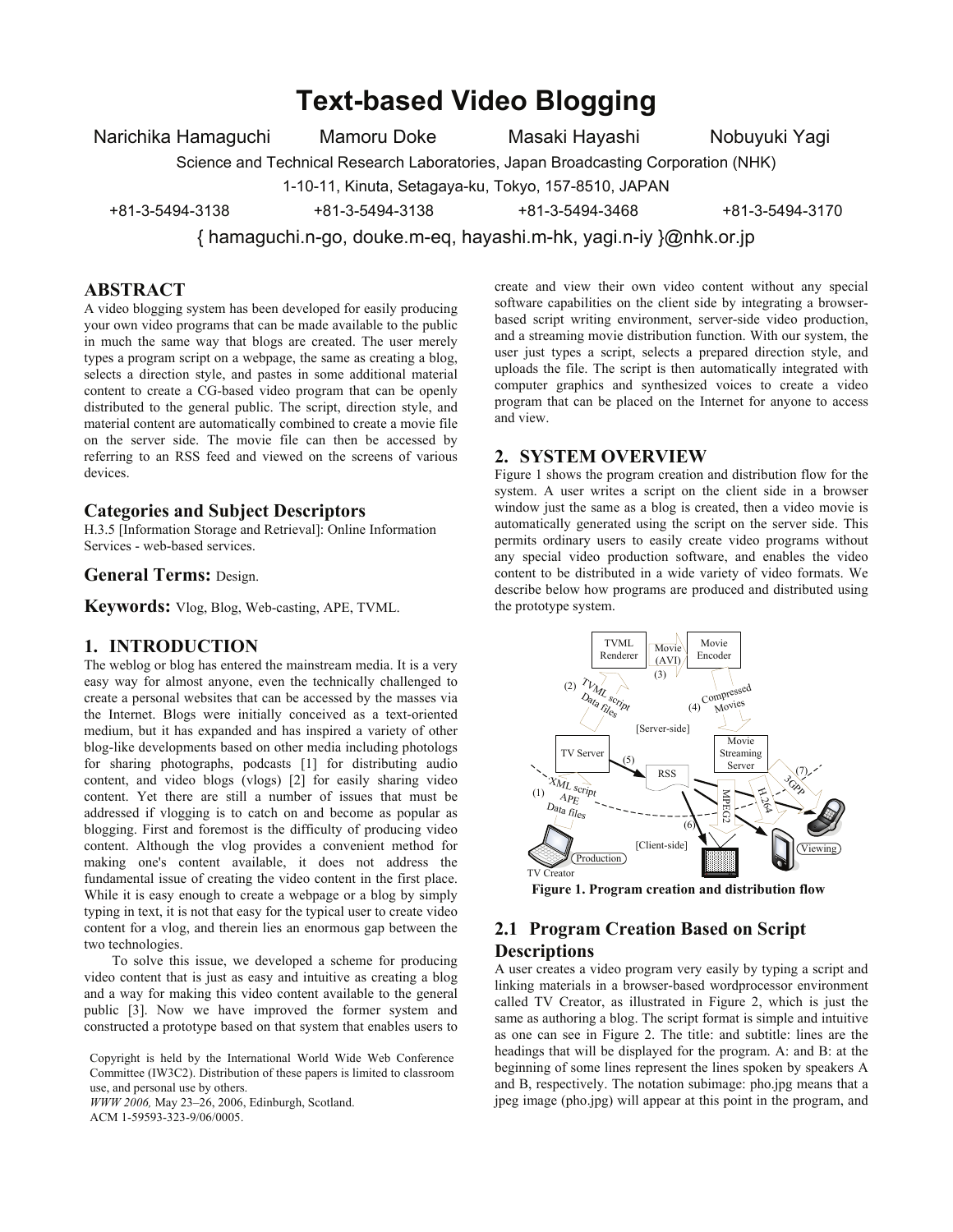## **Text-based Video Blogging**

Narichika Hamaguchi Mamoru Doke Masaki Hayashi Nobuyuki Yagi

Science and Technical Research Laboratories, Japan Broadcasting Corporation (NHK)

1-10-11, Kinuta, Setagaya-ku, Tokyo, 157-8510, JAPAN

+81-3-5494-3138 +81-3-5494-3138 +81-3-5494-3468 +81-3-5494-3170

{ hamaguchi.n-go, douke.m-eq, hayashi.m-hk, yagi.n-iy }@nhk.or.jp

## **ABSTRACT**

A video blogging system has been developed for easily producing your own video programs that can be made available to the public in much the same way that blogs are created. The user merely types a program script on a webpage, the same as creating a blog, selects a direction style, and pastes in some additional material content to create a CG-based video program that can be openly distributed to the general public. The script, direction style, and material content are automatically combined to create a movie file on the server side. The movie file can then be accessed by referring to an RSS feed and viewed on the screens of various devices.

#### **Categories and Subject Descriptors**

H.3.5 [Information Storage and Retrieval]: Online Information Services - web-based services.

**General Terms:** Design.

**Keywords:** Vlog, Blog, Web-casting, APE, TVML.

## **1. INTRODUCTION**

The weblog or blog has entered the mainstream media. It is a very easy way for almost anyone, even the technically challenged to create a personal websites that can be accessed by the masses via the Internet. Blogs were initially conceived as a text-oriented medium, but it has expanded and has inspired a variety of other blog-like developments based on other media including photologs for sharing photographs, podcasts [1] for distributing audio content, and video blogs (vlogs) [2] for easily sharing video content. Yet there are still a number of issues that must be addressed if vlogging is to catch on and become as popular as blogging. First and foremost is the difficulty of producing video content. Although the vlog provides a convenient method for making one's content available, it does not address the fundamental issue of creating the video content in the first place. While it is easy enough to create a webpage or a blog by simply typing in text, it is not that easy for the typical user to create video content for a vlog, and therein lies an enormous gap between the two technologies.

To solve this issue, we developed a scheme for producing video content that is just as easy and intuitive as creating a blog and a way for making this video content available to the general public [3]. Now we have improved the former system and constructed a prototype based on that system that enables users to

Copyright is held by the International World Wide Web Conference Committee (IW3C2). Distribution of these papers is limited to classroom use, and personal use by others.

*WWW 2006,* May 23–26, 2006, Edinburgh, Scotland. ACM 1-59593-323-9/06/0005.

create and view their own video content without any special software capabilities on the client side by integrating a browserbased script writing environment, server-side video production, and a streaming movie distribution function. With our system, the user just types a script, selects a prepared direction style, and uploads the file. The script is then automatically integrated with computer graphics and synthesized voices to create a video program that can be placed on the Internet for anyone to access and view.

## **2. SYSTEM OVERVIEW**

Figure 1 shows the program creation and distribution flow for the system. A user writes a script on the client side in a browser window just the same as a blog is created, then a video movie is automatically generated using the script on the server side. This permits ordinary users to easily create video programs without any special video production software, and enables the video content to be distributed in a wide variety of video formats. We describe below how programs are produced and distributed using the prototype system.



**Figure 1. Program creation and distribution flow** 

## **2.1 Program Creation Based on Script Descriptions**

A user creates a video program very easily by typing a script and linking materials in a browser-based wordprocessor environment called TV Creator, as illustrated in Figure 2, which is just the same as authoring a blog. The script format is simple and intuitive as one can see in Figure 2. The title: and subtitle: lines are the headings that will be displayed for the program. A: and B: at the beginning of some lines represent the lines spoken by speakers A and B, respectively. The notation subimage: pho.jpg means that a jpeg image (pho.jpg) will appear at this point in the program, and